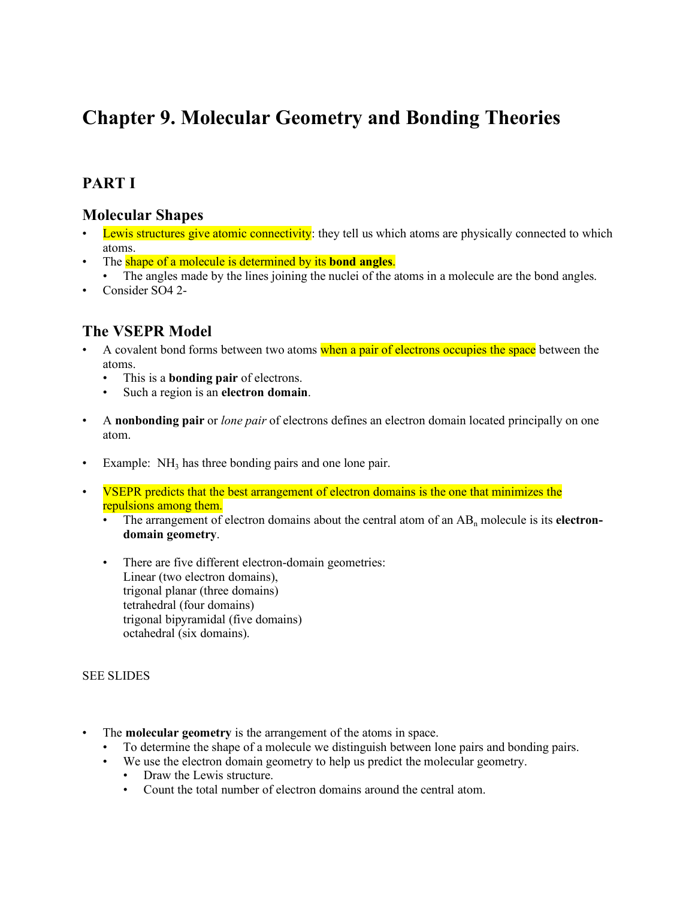# **Chapter 9. Molecular Geometry and Bonding Theories**

# **PART I**

### **Molecular Shapes**

- Lewis structures give atomic connectivity: they tell us which atoms are physically connected to which atoms.
- The shape of a molecule is determined by its **bond angles**.
- The angles made by the lines joining the nuclei of the atoms in a molecule are the bond angles.
- Consider SO4 2-

### **The VSEPR Model**

- A covalent bond forms between two atoms when a pair of electrons occupies the space between the atoms.
	- This is a **bonding pair** of electrons.
	- Such a region is an **electron domain**.
- A **nonbonding pair** or *lone pair* of electrons defines an electron domain located principally on one atom.
- Example: NH<sub>3</sub> has three bonding pairs and one lone pair.
- VSEPR predicts that the best arrangement of electron domains is the one that minimizes the repulsions among them.
	- The arrangement of electron domains about the central atom of an AB<sub>n</sub> molecule is its **electrondomain geometry**.
	- There are five different electron-domain geometries: Linear (two electron domains), trigonal planar (three domains) tetrahedral (four domains) trigonal bipyramidal (five domains) octahedral (six domains).

#### SEE SLIDES

- The **molecular geometry** is the arrangement of the atoms in space.
	- To determine the shape of a molecule we distinguish between lone pairs and bonding pairs.
	- We use the electron domain geometry to help us predict the molecular geometry.
		- Draw the Lewis structure.
		- Count the total number of electron domains around the central atom.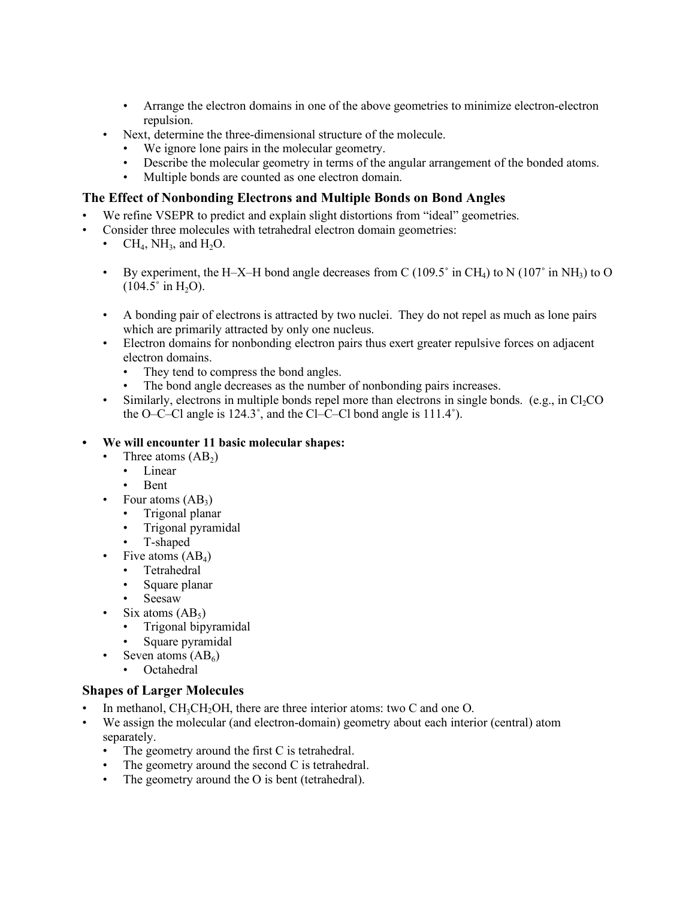- Arrange the electron domains in one of the above geometries to minimize electron-electron repulsion.
- Next, determine the three-dimensional structure of the molecule.
	- We ignore lone pairs in the molecular geometry.
	- Describe the molecular geometry in terms of the angular arrangement of the bonded atoms.
	- Multiple bonds are counted as one electron domain.

#### **The Effect of Nonbonding Electrons and Multiple Bonds on Bond Angles**

- We refine VSEPR to predict and explain slight distortions from "ideal" geometries.
- Consider three molecules with tetrahedral electron domain geometries:
	- $CH_4$ , NH<sub>3</sub>, and H<sub>2</sub>O.
	- By experiment, the H–X–H bond angle decreases from C (109.5° in CH<sub>4</sub>) to N (107° in NH<sub>3</sub>) to O  $(104.5^\circ \text{ in H}_2O)$ .
	- A bonding pair of electrons is attracted by two nuclei. They do not repel as much as lone pairs which are primarily attracted by only one nucleus.
	- Electron domains for nonbonding electron pairs thus exert greater repulsive forces on adjacent electron domains.
		- They tend to compress the bond angles.
		- The bond angle decreases as the number of nonbonding pairs increases.
	- Similarly, electrons in multiple bonds repel more than electrons in single bonds. (e.g., in  $Cl<sub>2</sub>CO$ ) the O–C–Cl angle is 124.3˚, and the Cl–C–Cl bond angle is 111.4˚).

#### **• We will encounter 11 basic molecular shapes:**

- Three atoms  $(AB_2)$ 
	- Linear
	- Bent
- Four atoms  $(AB_3)$ 
	- Trigonal planar
	- Trigonal pyramidal
	- T-shaped
	- Five atoms  $(AB_4)$ 
		- Tetrahedral
		- Square planar
	- Seesaw
- Six atoms  $(AB_5)$ 
	- Trigonal bipyramidal
	- Square pyramidal
	- Seven atoms  $(AB_6)$
	- Octahedral

#### **Shapes of Larger Molecules**

- In methanol,  $CH_3CH_2OH$ , there are three interior atoms: two C and one O.
- We assign the molecular (and electron-domain) geometry about each interior (central) atom separately.
	- The geometry around the first C is tetrahedral.
	- The geometry around the second C is tetrahedral.
	- The geometry around the O is bent (tetrahedral).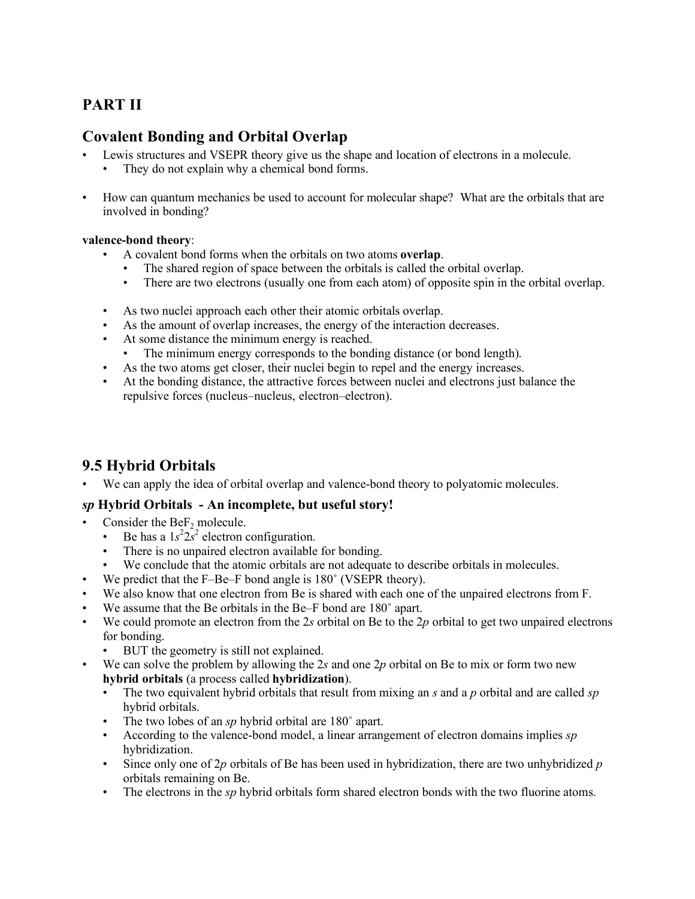# **PART II**

### **Covalent Bonding and Orbital Overlap**

- Lewis structures and VSEPR theory give us the shape and location of electrons in a molecule.
	- They do not explain why a chemical bond forms.
- How can quantum mechanics be used to account for molecular shape? What are the orbitals that are involved in bonding?

### **valence-bond theory**:

- A covalent bond forms when the orbitals on two atoms **overlap**.
	- The shared region of space between the orbitals is called the orbital overlap.
	- There are two electrons (usually one from each atom) of opposite spin in the orbital overlap.
- As two nuclei approach each other their atomic orbitals overlap.
- As the amount of overlap increases, the energy of the interaction decreases.
- At some distance the minimum energy is reached.
	- The minimum energy corresponds to the bonding distance (or bond length).
- As the two atoms get closer, their nuclei begin to repel and the energy increases.
- At the bonding distance, the attractive forces between nuclei and electrons just balance the repulsive forces (nucleus–nucleus, electron–electron).

# **9.5 Hybrid Orbitals**

We can apply the idea of orbital overlap and valence-bond theory to polyatomic molecules.

### *sp* **Hybrid Orbitals - An incomplete, but useful story!**

- Consider the  $\text{BeF}_2$  molecule.
	- Be has a  $1s^2 2s^2$  electron configuration.
	- There is no unpaired electron available for bonding.
	- We conclude that the atomic orbitals are not adequate to describe orbitals in molecules.
- We predict that the F–Be–F bond angle is 180° (VSEPR theory).
- We also know that one electron from Be is shared with each one of the unpaired electrons from F.
- We assume that the Be orbitals in the Be–F bond are 180° apart.
- We could promote an electron from the 2*s* orbital on Be to the 2*p* orbital to get two unpaired electrons for bonding.
	- BUT the geometry is still not explained.
- We can solve the problem by allowing the 2*s* and one 2*p* orbital on Be to mix or form two new **hybrid orbitals** (a process called **hybridization**).
	- The two equivalent hybrid orbitals that result from mixing an *s* and a *p* orbital and are called *sp* hybrid orbitals.
	- The two lobes of an *sp* hybrid orbital are 180˚ apart.
	- According to the valence-bond model, a linear arrangement of electron domains implies *sp* hybridization.
	- Since only one of 2*p* orbitals of Be has been used in hybridization, there are two unhybridized *p* orbitals remaining on Be.
	- The electrons in the *sp* hybrid orbitals form shared electron bonds with the two fluorine atoms.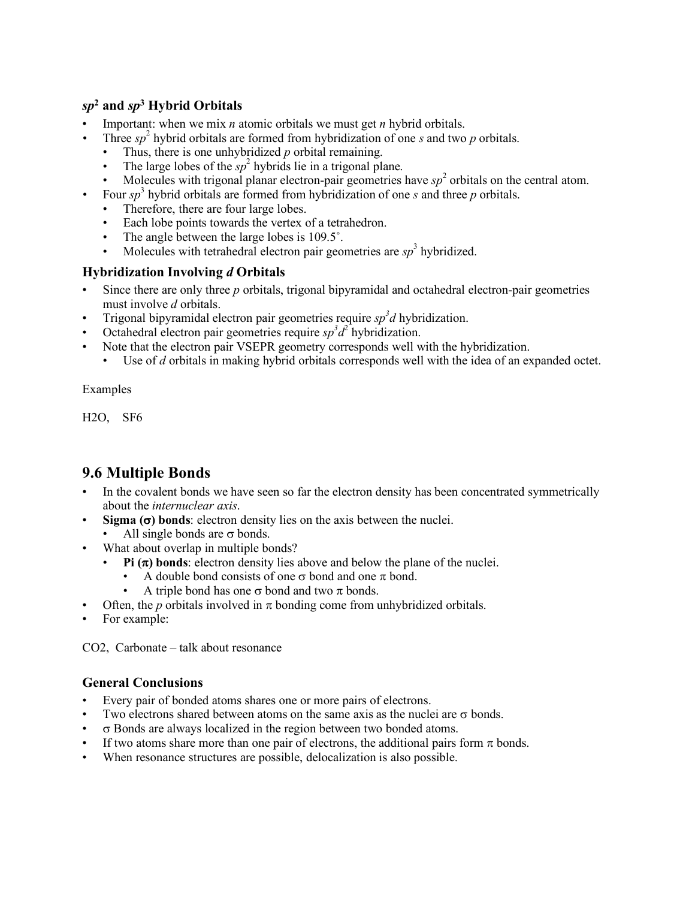### *sp***<sup>2</sup> and** *sp***<sup>3</sup> Hybrid Orbitals**

- Important: when we mix *n* atomic orbitals we must get *n* hybrid orbitals.
- *•* Three *sp* <sup>2</sup> hybrid orbitals are formed from hybridization of one *s* and two *p* orbitals.
	- Thus, there is one unhybridized *p* orbital remaining.
	- The large lobes of the  $sp^2$  hybrids lie in a trigonal plane.
	- Molecules with trigonal planar electron-pair geometries have  $sp<sup>2</sup>$  orbitals on the central atom.
- *•* Four *sp* <sup>3</sup> hybrid orbitals are formed from hybridization of one *s* and three *p* orbitals.
	- Therefore, there are four large lobes.
	- Each lobe points towards the vertex of a tetrahedron.
	- The angle between the large lobes is 109.5°.
	- Molecules with tetrahedral electron pair geometries are  $sp<sup>3</sup>$  hybridized.

#### **Hybridization Involving** *d* **Orbitals**

- Since there are only three *p* orbitals, trigonal bipyramidal and octahedral electron-pair geometries must involve *d* orbitals.
- Trigonal bipyramidal electron pair geometries require  $sp<sup>3</sup>d$  hybridization.
- Octahedral electron pair geometries require  $sp^3d^2$  hybridization.
- Note that the electron pair VSEPR geometry corresponds well with the hybridization.
	- Use of *d* orbitals in making hybrid orbitals corresponds well with the idea of an expanded octet.

Examples

H2O, SF6

# **9.6 Multiple Bonds**

- In the covalent bonds we have seen so far the electron density has been concentrated symmetrically about the *internuclear axis*.
- **Sigma**  $(\sigma)$  **bonds**: electron density lies on the axis between the nuclei.
- All single bonds are  $\sigma$  bonds.
- What about overlap in multiple bonds?
	- **Pi**  $(\pi)$  bonds: electron density lies above and below the plane of the nuclei.
		- A double bond consists of one  $\sigma$  bond and one  $\pi$  bond.
		- A triple bond has one  $\sigma$  bond and two  $\pi$  bonds.
- Often, the *p* orbitals involved in  $\pi$  bonding come from unhybridized orbitals.
- For example:

CO2, Carbonate – talk about resonance

#### **General Conclusions**

- Every pair of bonded atoms shares one or more pairs of electrons.
- Two electrons shared between atoms on the same axis as the nuclei are  $\sigma$  bonds.
- $\sigma$  Bonds are always localized in the region between two bonded atoms.
- If two atoms share more than one pair of electrons, the additional pairs form  $\pi$  bonds.
- When resonance structures are possible, delocalization is also possible.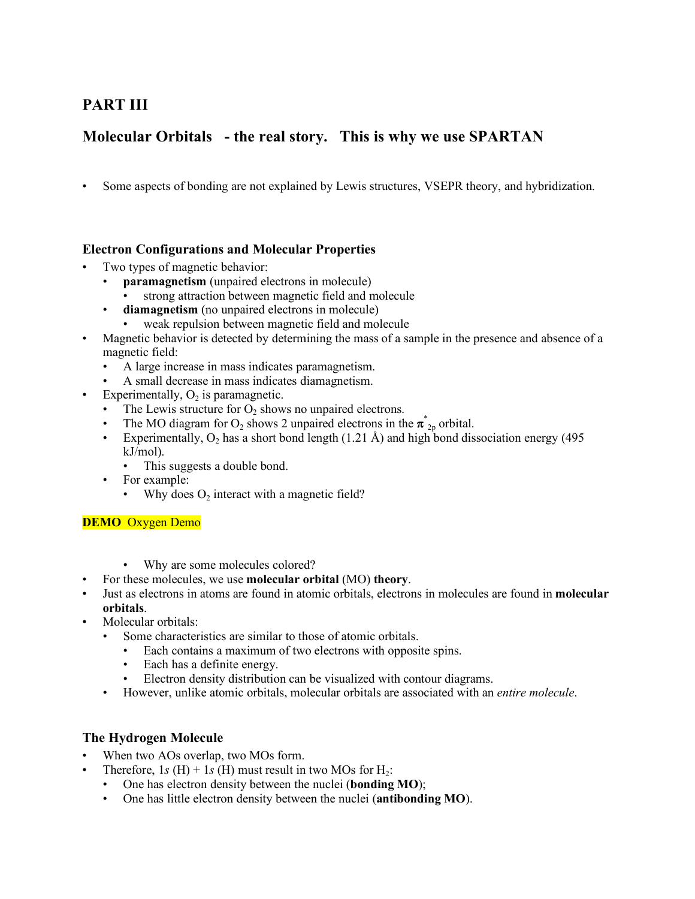# **PART III**

# **Molecular Orbitals - the real story. This is why we use SPARTAN**

• Some aspects of bonding are not explained by Lewis structures, VSEPR theory, and hybridization.

### **Electron Configurations and Molecular Properties**

- Two types of magnetic behavior:
	- **paramagnetism** (unpaired electrons in molecule)
	- strong attraction between magnetic field and molecule
	- **diamagnetism** (no unpaired electrons in molecule)
		- weak repulsion between magnetic field and molecule
- Magnetic behavior is detected by determining the mass of a sample in the presence and absence of a magnetic field:
	- A large increase in mass indicates paramagnetism.
	- A small decrease in mass indicates diamagnetism.
- Experimentally,  $O<sub>2</sub>$  is paramagnetic.
	- The Lewis structure for  $O_2$  shows no unpaired electrons.
	- The MO diagram for O<sub>2</sub> shows 2 unpaired electrons in the  $\pi^*_{2p}$  orbital.
	- Experimentally,  $O_2$  has a short bond length (1.21 Å) and high bond dissociation energy (495 kJ/mol).
		- This suggests a double bond.
	- For example:
		- Why does  $O_2$  interact with a magnetic field?

#### **DEMO** Oxygen Demo

- Why are some molecules colored?
- For these molecules, we use **molecular orbital** (MO) **theory**.
- Just as electrons in atoms are found in atomic orbitals, electrons in molecules are found in **molecular orbitals**.
- Molecular orbitals:
	- Some characteristics are similar to those of atomic orbitals.
		- Each contains a maximum of two electrons with opposite spins.
		- Each has a definite energy.
		- Electron density distribution can be visualized with contour diagrams.
	- However, unlike atomic orbitals, molecular orbitals are associated with an *entire molecule*.

#### **The Hydrogen Molecule**

- When two AOs overlap, two MOs form.
	- Therefore, 1*s* (H) + 1*s* (H) must result in two MOs for H<sub>2</sub>:
		- One has electron density between the nuclei (**bonding MO**);
		- One has little electron density between the nuclei (**antibonding MO**).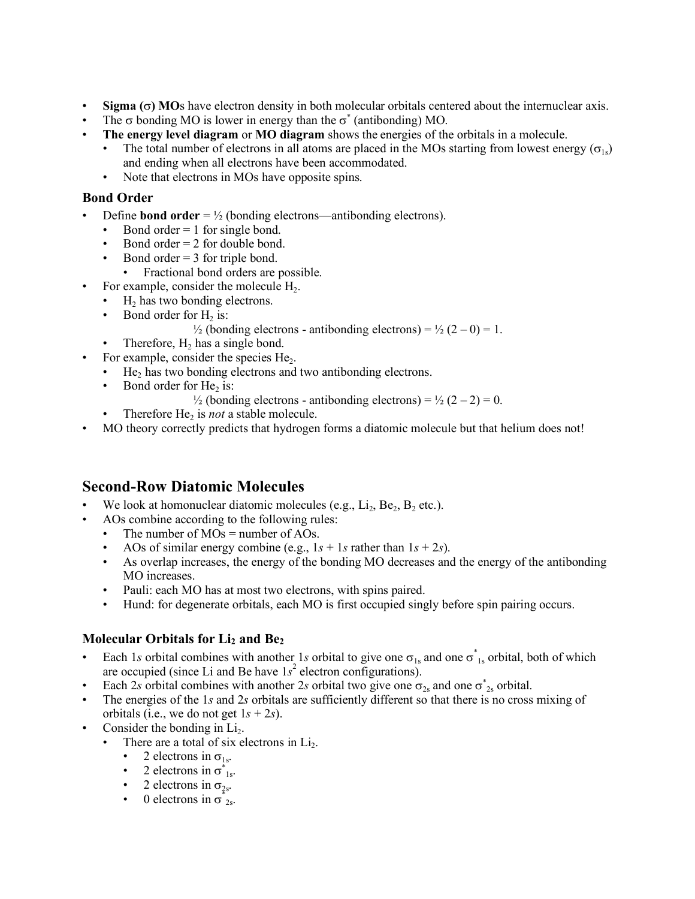- $\cdot$  **Sigma** ( $\sigma$ ) MOs have electron density in both molecular orbitals centered about the internuclear axis.
- The  $\sigma$  bonding MO is lower in energy than the  $\sigma^*$  (antibonding) MO.
- **The energy level diagram** or **MO diagram** shows the energies of the orbitals in a molecule.
	- The total number of electrons in all atoms are placed in the MOs starting from lowest energy ( $\sigma_{1s}$ ) and ending when all electrons have been accommodated.
	- Note that electrons in MOs have opposite spins.

#### **Bond Order**

- Define **bond order** =  $\frac{1}{2}$  (bonding electrons—antibonding electrons).
	- Bond order  $= 1$  for single bond.
	- Bond order  $= 2$  for double bond.
	- Bond order  $=$  3 for triple bond.
		- Fractional bond orders are possible.
- For example, consider the molecule  $H<sub>2</sub>$ .
	- $H_2$  has two bonding electrons.
	- Bond order for  $H_2$  is:

 $\frac{1}{2}$  (bonding electrons - antibonding electrons) =  $\frac{1}{2}$  (2 – 0) = 1.

- Therefore,  $H_2$  has a single bond.
- For example, consider the species He<sub>2</sub>.
	- $\cdot$  He<sub>2</sub> has two bonding electrons and two antibonding electrons.
	- Bond order for  $He_2$  is:
		- $\frac{1}{2}$  (bonding electrons antibonding electrons) =  $\frac{1}{2}$  (2 2) = 0.
		- Therefore He<sub>2</sub> is *not* a stable molecule.
- MO theory correctly predicts that hydrogen forms a diatomic molecule but that helium does not!

### **Second-Row Diatomic Molecules**

- We look at homonuclear diatomic molecules (e.g.,  $Li_2$ ,  $Be_2$ ,  $B_2$  etc.).
- AOs combine according to the following rules:
	- The number of  $MOs =$  number of  $AOs$ .
	- AOs of similar energy combine (e.g.,  $1s + 1s$  rather than  $1s + 2s$ ).
	- As overlap increases, the energy of the bonding MO decreases and the energy of the antibonding MO increases.
	- Pauli: each MO has at most two electrons, with spins paired.
	- Hund: for degenerate orbitals, each MO is first occupied singly before spin pairing occurs.

### **Molecular Orbitals for Li2 and Be2**

- Each 1*s* orbital combines with another 1*s* orbital to give one  $\sigma_{1s}$  and one  $\sigma_{1s}^*$  orbital, both of which are occupied (since Li and Be have  $1s^2$  electron configurations).
- Each 2*s* orbital combines with another 2*s* orbital two give one  $\sigma_{2s}$  and one  $\sigma_{2s}^*$  orbital.
- The energies of the 1*s* and 2*s* orbitals are sufficiently different so that there is no cross mixing of orbitals (i.e., we do not get  $1s + 2s$ ).
- Consider the bonding in Li<sub>2</sub>.
	- There are a total of six electrons in Li<sub>2</sub>.
		- 2 electrons in  $\sigma_{1s}$ .
		- 2 electrons in  $\sigma_{1s}^*$ .
		- 2 electrons in  $\sigma_{2s}$ .
		- 2 electrons in  $\sigma_{2s}$ .<br>• 0 electrons in  $\sigma_{2s}$ .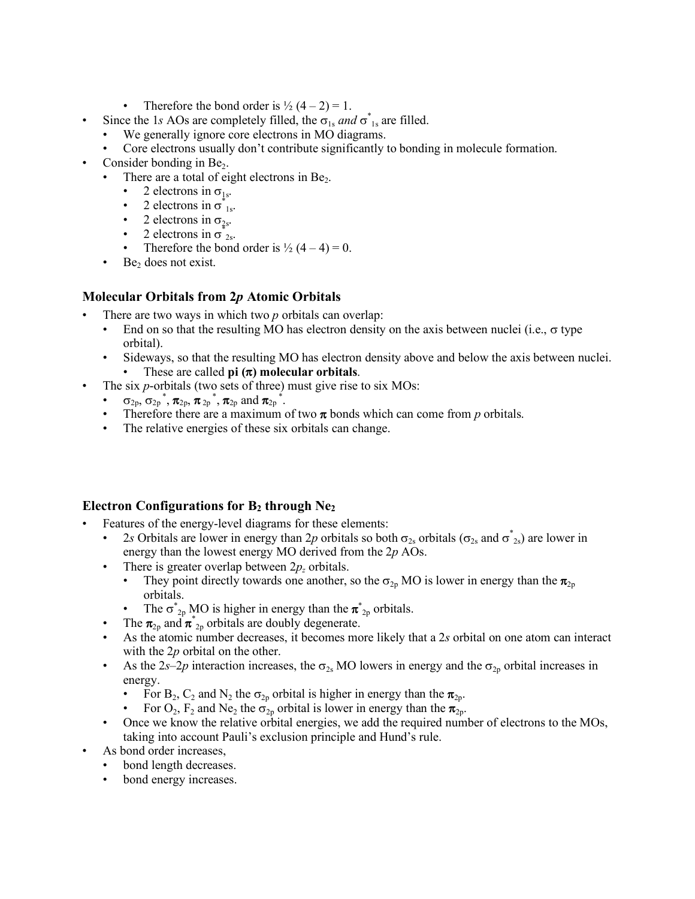- Therefore the bond order is  $\frac{1}{2}$  (4 2) = 1.
- Since the 1*s* AOs are completely filled, the  $\sigma_{1s}$  *and*  $\sigma_{1s}^*$  are filled.
	- We generally ignore core electrons in MO diagrams.
	- Core electrons usually don't contribute significantly to bonding in molecule formation.
- Consider bonding in  $Be<sub>2</sub>$ .
	- There are a total of eight electrons in  $Be<sub>2</sub>$ .
		- 2 electrons in  $\sigma_{1s}$ .
		- 2 electrons in  $\sigma_{1s}^*$ .
		- 2 electrons in  $\sigma_{2s}$ .
		- 2 electrons in  $\sigma_{2s}^*$ .
		- Therefore the bond order is  $\frac{1}{2}$  (4 4) = 0.
	- $\cdot$  Be<sub>2</sub> does not exist.

### **Molecular Orbitals from 2***p* **Atomic Orbitals**

- There are two ways in which two *p* orbitals can overlap:
	- End on so that the resulting MO has electron density on the axis between nuclei (i.e.,  $\sigma$  type orbital).
	- Sideways, so that the resulting MO has electron density above and below the axis between nuclei. These are called  $\pi$ **)** molecular orbitals.
- The six *p*-orbitals (two sets of three) must give rise to six MOs:
	- $\sigma_{2p}, \sigma_{2p}^*, \pi_{2p}, \pi_{2p}^*, \pi_{2p}$  and  $\pi_{2p}^*$ .
	- Therefore there are a maximum of two  $\pi$  bonds which can come from  $p$  orbitals.
	- The relative energies of these six orbitals can change.

### **Electron Configurations for B2 through Ne2**

- Features of the energy-level diagrams for these elements:
	- 2*s* Orbitals are lower in energy than 2*p* orbitals so both  $\sigma_{2s}$  orbitals ( $\sigma_{2s}$  and  $\sigma^*_{2s}$ ) are lower in energy than the lowest energy MO derived from the 2*p* AOs.
	- There is greater overlap between  $2p<sub>z</sub>$  orbitals.
		- They point directly towards one another, so the  $\sigma_{2p}$  MO is lower in energy than the  $\pi_{2p}$ orbitals.
		- The  $\sigma^*_{2p}$  MO is higher in energy than the  $\pi^*_{2p}$  orbitals.
	- The  $\pi_{2p}$  and  $\pi_{2p}^*$  orbitals are doubly degenerate.
	- As the atomic number decreases, it becomes more likely that a 2*s* orbital on one atom can interact with the 2*p* orbital on the other.
	- As the 2*s*–2*p* interaction increases, the  $\sigma_{2s}$  MO lowers in energy and the  $\sigma_{2p}$  orbital increases in energy.
		- For B<sub>2</sub>, C<sub>2</sub> and N<sub>2</sub> the  $\sigma_{2p}$  orbital is higher in energy than the  $\pi_{2p}$ .
		- For  $O_2$ ,  $F_2$  and Ne<sub>2</sub> the  $\sigma_{2p}$  orbital is lower in energy than the  $\pi_{2p}$ .
	- Once we know the relative orbital energies, we add the required number of electrons to the MOs, taking into account Pauli's exclusion principle and Hund's rule.
- As bond order increases.
	- bond length decreases.
	- bond energy increases.